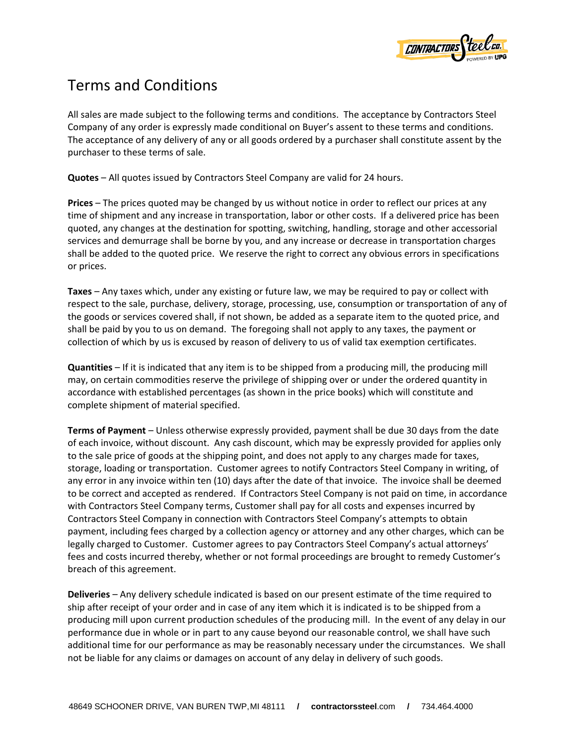

## Terms and Conditions

All sales are made subject to the following terms and conditions. The acceptance by Contractors Steel Company of any order is expressly made conditional on Buyer's assent to these terms and conditions. The acceptance of any delivery of any or all goods ordered by a purchaser shall constitute assent by the purchaser to these terms of sale.

**Quotes** – All quotes issued by Contractors Steel Company are valid for 24 hours.

**Prices** – The prices quoted may be changed by us without notice in order to reflect our prices at any time of shipment and any increase in transportation, labor or other costs. If a delivered price has been quoted, any changes at the destination for spotting, switching, handling, storage and other accessorial services and demurrage shall be borne by you, and any increase or decrease in transportation charges shall be added to the quoted price. We reserve the right to correct any obvious errors in specifications or prices.

**Taxes** – Any taxes which, under any existing or future law, we may be required to pay or collect with respect to the sale, purchase, delivery, storage, processing, use, consumption or transportation of any of the goods or services covered shall, if not shown, be added as a separate item to the quoted price, and shall be paid by you to us on demand. The foregoing shall not apply to any taxes, the payment or collection of which by us is excused by reason of delivery to us of valid tax exemption certificates.

**Quantities** – If it is indicated that any item is to be shipped from a producing mill, the producing mill may, on certain commodities reserve the privilege of shipping over or under the ordered quantity in accordance with established percentages (as shown in the price books) which will constitute and complete shipment of material specified.

**Terms of Payment** – Unless otherwise expressly provided, payment shall be due 30 days from the date of each invoice, without discount. Any cash discount, which may be expressly provided for applies only to the sale price of goods at the shipping point, and does not apply to any charges made for taxes, storage, loading or transportation. Customer agrees to notify Contractors Steel Company in writing, of any error in any invoice within ten (10) days after the date of that invoice. The invoice shall be deemed to be correct and accepted as rendered. If Contractors Steel Company is not paid on time, in accordance with Contractors Steel Company terms, Customer shall pay for all costs and expenses incurred by Contractors Steel Company in connection with Contractors Steel Company's attempts to obtain payment, including fees charged by a collection agency or attorney and any other charges, which can be legally charged to Customer. Customer agrees to pay Contractors Steel Company's actual attorneys' fees and costs incurred thereby, whether or not formal proceedings are brought to remedy Customer's breach of this agreement.

**Deliveries** – Any delivery schedule indicated is based on our present estimate of the time required to ship after receipt of your order and in case of any item which it is indicated is to be shipped from a producing mill upon current production schedules of the producing mill. In the event of any delay in our performance due in whole or in part to any cause beyond our reasonable control, we shall have such additional time for our performance as may be reasonably necessary under the circumstances. We shall not be liable for any claims or damages on account of any delay in delivery of such goods.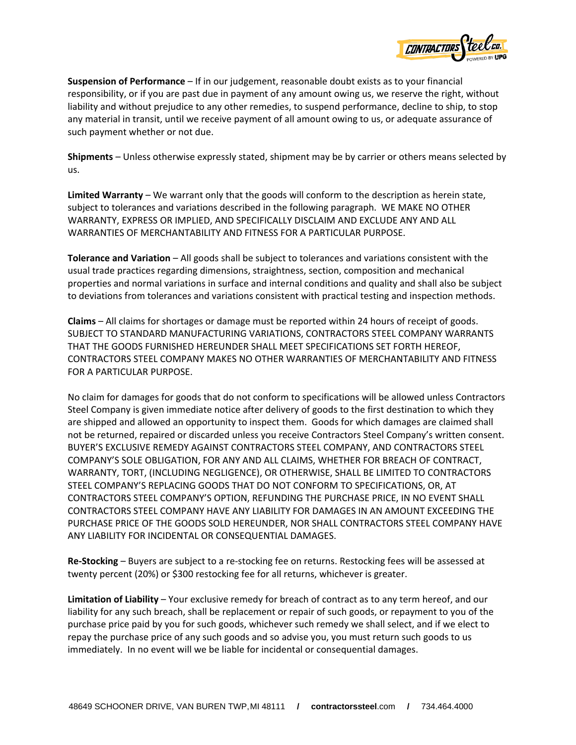

**Suspension of Performance** – If in our judgement, reasonable doubt exists as to your financial responsibility, or if you are past due in payment of any amount owing us, we reserve the right, without liability and without prejudice to any other remedies, to suspend performance, decline to ship, to stop any material in transit, until we receive payment of all amount owing to us, or adequate assurance of such payment whether or not due.

**Shipments** – Unless otherwise expressly stated, shipment may be by carrier or others means selected by us.

**Limited Warranty** – We warrant only that the goods will conform to the description as herein state, subject to tolerances and variations described in the following paragraph. WE MAKE NO OTHER WARRANTY, EXPRESS OR IMPLIED, AND SPECIFICALLY DISCLAIM AND EXCLUDE ANY AND ALL WARRANTIES OF MERCHANTABILITY AND FITNESS FOR A PARTICULAR PURPOSE.

**Tolerance and Variation** – All goods shall be subject to tolerances and variations consistent with the usual trade practices regarding dimensions, straightness, section, composition and mechanical properties and normal variations in surface and internal conditions and quality and shall also be subject to deviations from tolerances and variations consistent with practical testing and inspection methods.

**Claims** – All claims for shortages or damage must be reported within 24 hours of receipt of goods. SUBJECT TO STANDARD MANUFACTURING VARIATIONS, CONTRACTORS STEEL COMPANY WARRANTS THAT THE GOODS FURNISHED HEREUNDER SHALL MEET SPECIFICATIONS SET FORTH HEREOF, CONTRACTORS STEEL COMPANY MAKES NO OTHER WARRANTIES OF MERCHANTABILITY AND FITNESS FOR A PARTICULAR PURPOSE.

No claim for damages for goods that do not conform to specifications will be allowed unless Contractors Steel Company is given immediate notice after delivery of goods to the first destination to which they are shipped and allowed an opportunity to inspect them. Goods for which damages are claimed shall not be returned, repaired or discarded unless you receive Contractors Steel Company's written consent. BUYER'S EXCLUSIVE REMEDY AGAINST CONTRACTORS STEEL COMPANY, AND CONTRACTORS STEEL COMPANY'S SOLE OBLIGATION, FOR ANY AND ALL CLAIMS, WHETHER FOR BREACH OF CONTRACT, WARRANTY, TORT, (INCLUDING NEGLIGENCE), OR OTHERWISE, SHALL BE LIMITED TO CONTRACTORS STEEL COMPANY'S REPLACING GOODS THAT DO NOT CONFORM TO SPECIFICATIONS, OR, AT CONTRACTORS STEEL COMPANY'S OPTION, REFUNDING THE PURCHASE PRICE, IN NO EVENT SHALL CONTRACTORS STEEL COMPANY HAVE ANY LIABILITY FOR DAMAGES IN AN AMOUNT EXCEEDING THE PURCHASE PRICE OF THE GOODS SOLD HEREUNDER, NOR SHALL CONTRACTORS STEEL COMPANY HAVE ANY LIABILITY FOR INCIDENTAL OR CONSEQUENTIAL DAMAGES.

**Re-Stocking** – Buyers are subject to a re-stocking fee on returns. Restocking fees will be assessed at twenty percent (20%) or \$300 restocking fee for all returns, whichever is greater.

**Limitation of Liability** – Your exclusive remedy for breach of contract as to any term hereof, and our liability for any such breach, shall be replacement or repair of such goods, or repayment to you of the purchase price paid by you for such goods, whichever such remedy we shall select, and if we elect to repay the purchase price of any such goods and so advise you, you must return such goods to us immediately. In no event will we be liable for incidental or consequential damages.